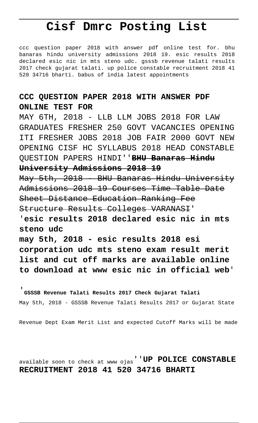## **Cisf Dmrc Posting List**

ccc question paper 2018 with answer pdf online test for. bhu banaras hindu university admissions 2018 19. esic results 2018 declared esic nic in mts steno udc. gsssb revenue talati results 2017 check gujarat talati. up police constable recruitment 2018 41 520 34716 bharti. babus of india latest appointments

## **CCC QUESTION PAPER 2018 WITH ANSWER PDF ONLINE TEST FOR**

MAY 6TH, 2018 - LLB LLM JOBS 2018 FOR LAW GRADUATES FRESHER 250 GOVT VACANCIES OPENING ITI FRESHER JOBS 2018 JOB FAIR 2000 GOVT NEW OPENING CISF HC SYLLABUS 2018 HEAD CONSTABLE QUESTION PAPERS HINDI''**BHU Banaras Hindu University Admissions 2018 19**

May 5th, 2018 - BHU Banaras Hindu University Admissions 2018 19 Courses Time Table Date Sheet Distance Education Ranking Fee Structure Results Colleges VARANASI'

'**esic results 2018 declared esic nic in mts steno udc**

**may 5th, 2018 - esic results 2018 esi corporation udc mts steno exam result merit list and cut off marks are available online to download at www esic nic in official web**'

'**GSSSB Revenue Talati Results 2017 Check Gujarat Talati** May 5th, 2018 - GSSSB Revenue Talati Results 2017 or Gujarat State

Revenue Dept Exam Merit List and expected Cutoff Marks will be made

available soon to check at www ojas''**UP POLICE CONSTABLE RECRUITMENT 2018 41 520 34716 BHARTI**